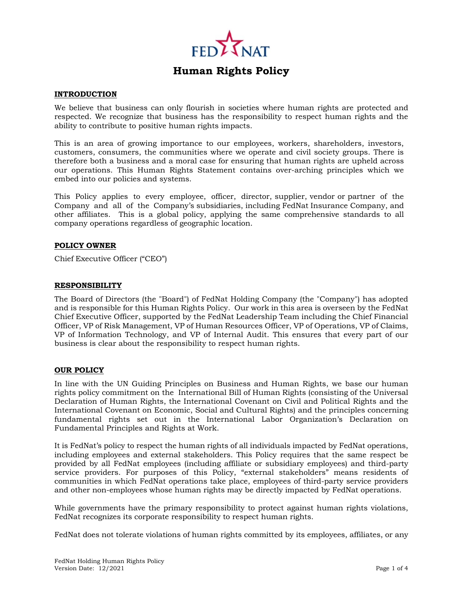

#### **INTRODUCTION**

We believe that business can only flourish in societies where human rights are protected and respected. We recognize that business has the responsibility to respect human rights and the ability to contribute to positive human rights impacts.

This is an area of growing importance to our employees, workers, shareholders, investors, customers, consumers, the communities where we operate and civil society groups. There is therefore both a business and a moral case for ensuring that human rights are upheld across our operations. This Human Rights Statement contains over-arching principles which we embed into our policies and systems.

This Policy applies to every employee, officer, director, supplier, vendor or partner of the Company and all of the Company's subsidiaries, including FedNat Insurance Company, and other affiliates. This is a global policy, applying the same comprehensive standards to all company operations regardless of geographic location.

#### **POLICY OWNER**

Chief Executive Officer ("CEO")

#### **RESPONSIBILITY**

The Board of Directors (the "Board") of FedNat Holding Company (the "Company") has adopted and is responsible for this Human Rights Policy. Our work in this area is overseen by the FedNat Chief Executive Officer, supported by the FedNat Leadership Team including the Chief Financial Officer, VP of Risk Management, VP of Human Resources Officer, VP of Operations, VP of Claims, VP of Information Technology, and VP of Internal Audit. This ensures that every part of our business is clear about the responsibility to respect human rights.

#### **OUR POLICY**

In line with the UN Guiding Principles on Business and Human Rights, we base our human rights policy commitment on the International Bill of Human Rights (consisting of the Universal Declaration of Human Rights, the International Covenant on Civil and Political Rights and the International Covenant on Economic, Social and Cultural Rights) and the principles concerning fundamental rights set out in the International Labor Organization's Declaration on Fundamental Principles and Rights at Work.

It is FedNat's policy to respect the human rights of all individuals impacted by FedNat operations, including employees and external stakeholders. This Policy requires that the same respect be provided by all FedNat employees (including affiliate or subsidiary employees) and third-party service providers. For purposes of this Policy, "external stakeholders" means residents of communities in which FedNat operations take place, employees of third-party service providers and other non-employees whose human rights may be directly impacted by FedNat operations.

While governments have the primary responsibility to protect against human rights violations, FedNat recognizes its corporate responsibility to respect human rights.

FedNat does not tolerate violations of human rights committed by its employees, affiliates, or any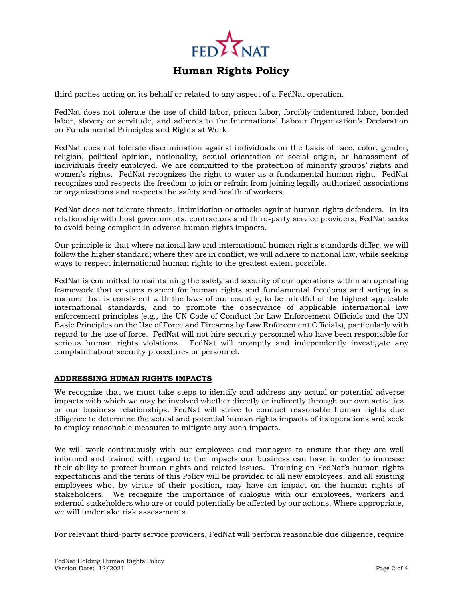

third parties acting on its behalf or related to any aspect of a FedNat operation.

FedNat does not tolerate the use of child labor, prison labor, forcibly indentured labor, bonded labor, slavery or servitude, and adheres to the International Labour Organization's Declaration on Fundamental Principles and Rights at Work.

FedNat does not tolerate discrimination against individuals on the basis of race, color, gender, religion, political opinion, nationality, sexual orientation or social origin, or harassment of individuals freely employed. We are committed to the protection of minority groups' rights and women's rights. FedNat recognizes the right to water as a fundamental human right. FedNat recognizes and respects the freedom to join or refrain from joining legally authorized associations or organizations and respects the safety and health of workers.

FedNat does not tolerate threats, intimidation or attacks against human rights defenders. In its relationship with host governments, contractors and third-party service providers, FedNat seeks to avoid being complicit in adverse human rights impacts.

Our principle is that where national law and international human rights standards differ, we will follow the higher standard; where they are in conflict, we will adhere to national law, while seeking ways to respect international human rights to the greatest extent possible.

FedNat is committed to maintaining the safety and security of our operations within an operating framework that ensures respect for human rights and fundamental freedoms and acting in a manner that is consistent with the laws of our country, to be mindful of the highest applicable international standards, and to promote the observance of applicable international law enforcement principles (e.g., the UN Code of Conduct for Law Enforcement Officials and the UN Basic Principles on the Use of Force and Firearms by Law Enforcement Officials), particularly with regard to the use of force. FedNat will not hire security personnel who have been responsible for serious human rights violations. FedNat will promptly and independently investigate any complaint about security procedures or personnel.

## **ADDRESSING HUMAN RIGHTS IMPACTS**

We recognize that we must take steps to identify and address any actual or potential adverse impacts with which we may be involved whether directly or indirectly through our own activities or our business relationships. FedNat will strive to conduct reasonable human rights due diligence to determine the actual and potential human rights impacts of its operations and seek to employ reasonable measures to mitigate any such impacts.

We will work continuously with our employees and managers to ensure that they are well informed and trained with regard to the impacts our business can have in order to increase their ability to protect human rights and related issues. Training on FedNat's human rights expectations and the terms of this Policy will be provided to all new employees, and all existing employees who, by virtue of their position, may have an impact on the human rights of stakeholders. We recognize the importance of dialogue with our employees, workers and external stakeholders who are or could potentially be affected by our actions. Where appropriate, we will undertake risk assessments.

For relevant third-party service providers, FedNat will perform reasonable due diligence, require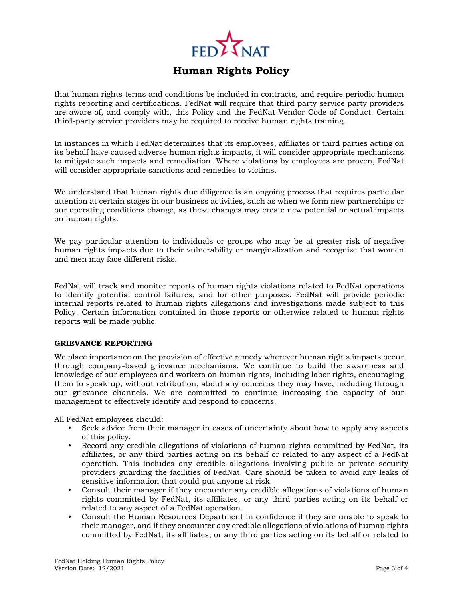

that human rights terms and conditions be included in contracts, and require periodic human rights reporting and certifications. FedNat will require that third party service party providers are aware of, and comply with, this Policy and the FedNat Vendor Code of Conduct. Certain third-party service providers may be required to receive human rights training.

In instances in which FedNat determines that its employees, affiliates or third parties acting on its behalf have caused adverse human rights impacts, it will consider appropriate mechanisms to mitigate such impacts and remediation. Where violations by employees are proven, FedNat will consider appropriate sanctions and remedies to victims.

We understand that human rights due diligence is an ongoing process that requires particular attention at certain stages in our business activities, such as when we form new partnerships or our operating conditions change, as these changes may create new potential or actual impacts on human rights.

We pay particular attention to individuals or groups who may be at greater risk of negative human rights impacts due to their vulnerability or marginalization and recognize that women and men may face different risks.

FedNat will track and monitor reports of human rights violations related to FedNat operations to identify potential control failures, and for other purposes. FedNat will provide periodic internal reports related to human rights allegations and investigations made subject to this Policy. Certain information contained in those reports or otherwise related to human rights reports will be made public.

### **GRIEVANCE REPORTING**

We place importance on the provision of effective remedy wherever human rights impacts occur through company-based grievance mechanisms. We continue to build the awareness and knowledge of our employees and workers on human rights, including labor rights, encouraging them to speak up, without retribution, about any concerns they may have, including through our grievance channels. We are committed to continue increasing the capacity of our management to effectively identify and respond to concerns.

All FedNat employees should:

- Seek advice from their manager in cases of uncertainty about how to apply any aspects of this policy.
- Record any credible allegations of violations of human rights committed by FedNat, its affiliates, or any third parties acting on its behalf or related to any aspect of a FedNat operation. This includes any credible allegations involving public or private security providers guarding the facilities of FedNat. Care should be taken to avoid any leaks of sensitive information that could put anyone at risk.
- Consult their manager if they encounter any credible allegations of violations of human rights committed by FedNat, its affiliates, or any third parties acting on its behalf or related to any aspect of a FedNat operation.
- Consult the Human Resources Department in confidence if they are unable to speak to their manager, and if they encounter any credible allegations of violations of human rights committed by FedNat, its affiliates, or any third parties acting on its behalf or related to